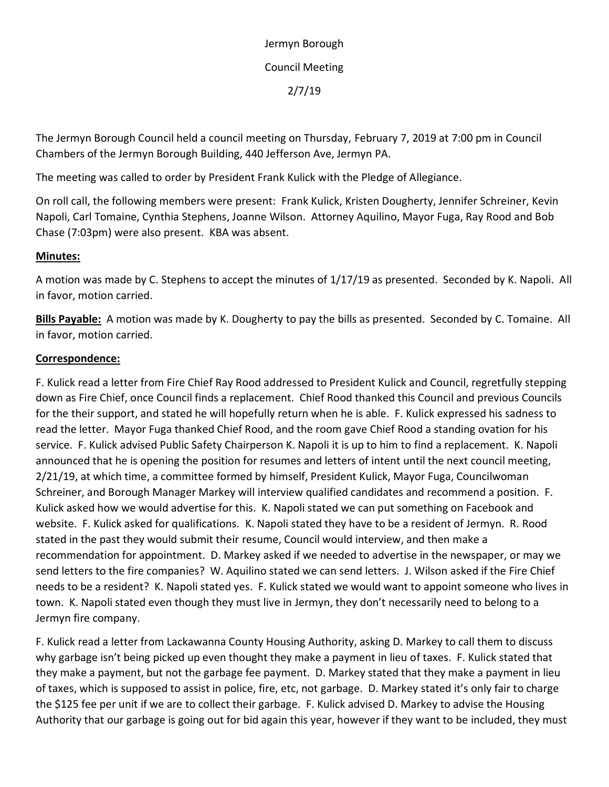Jermyn Borough Council Meeting 2/7/19

The Jermyn Borough Council held a council meeting on Thursday, February 7, 2019 at 7:00 pm in Council Chambers of the Jermyn Borough Building, 440 Jefferson Ave, Jermyn PA.

The meeting was called to order by President Frank Kulick with the Pledge of Allegiance.

On roll call, the following members were present: Frank Kulick, Kristen Dougherty, Jennifer Schreiner, Kevin Napoli, Carl Tomaine, Cynthia Stephens, Joanne Wilson. Attorney Aquilino, Mayor Fuga, Ray Rood and Bob Chase (7:03pm) were also present. KBA was absent.

## **Minutes:**

A motion was made by C. Stephens to accept the minutes of 1/17/19 as presented. Seconded by K. Napoli. All in favor, motion carried.

**Bills Payable:** A motion was made by K. Dougherty to pay the bills as presented. Seconded by C. Tomaine. All in favor, motion carried.

## **Correspondence:**

F. Kulick read a letter from Fire Chief Ray Rood addressed to President Kulick and Council, regretfully stepping down as Fire Chief, once Council finds a replacement. Chief Rood thanked this Council and previous Councils for the their support, and stated he will hopefully return when he is able. F. Kulick expressed his sadness to read the letter. Mayor Fuga thanked Chief Rood, and the room gave Chief Rood a standing ovation for his service. F. Kulick advised Public Safety Chairperson K. Napoli it is up to him to find a replacement. K. Napoli announced that he is opening the position for resumes and letters of intent until the next council meeting, 2/21/19, at which time, a committee formed by himself, President Kulick, Mayor Fuga, Councilwoman Schreiner, and Borough Manager Markey will interview qualified candidates and recommend a position. F. Kulick asked how we would advertise for this. K. Napoli stated we can put something on Facebook and website. F. Kulick asked for qualifications. K. Napoli stated they have to be a resident of Jermyn. R. Rood stated in the past they would submit their resume, Council would interview, and then make a recommendation for appointment. D. Markey asked if we needed to advertise in the newspaper, or may we send letters to the fire companies? W. Aquilino stated we can send letters. J. Wilson asked if the Fire Chief needs to be a resident? K. Napoli stated yes. F. Kulick stated we would want to appoint someone who lives in town. K. Napoli stated even though they must live in Jermyn, they don't necessarily need to belong to a Jermyn fire company.

F. Kulick read a letter from Lackawanna County Housing Authority, asking D. Markey to call them to discuss why garbage isn't being picked up even thought they make a payment in lieu of taxes. F. Kulick stated that they make a payment, but not the garbage fee payment. D. Markey stated that they make a payment in lieu of taxes, which is supposed to assist in police, fire, etc, not garbage. D. Markey stated it's only fair to charge the \$125 fee per unit if we are to collect their garbage. F. Kulick advised D. Markey to advise the Housing Authority that our garbage is going out for bid again this year, however if they want to be included, they must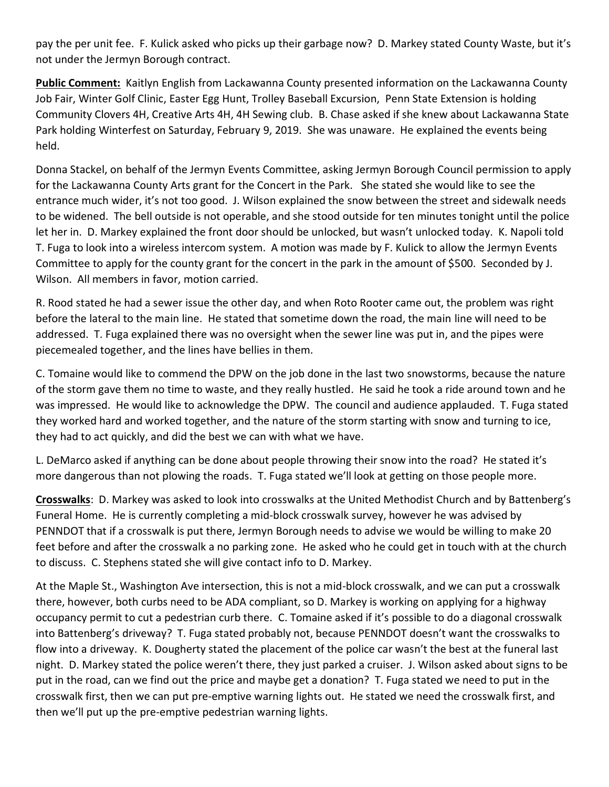pay the per unit fee. F. Kulick asked who picks up their garbage now? D. Markey stated County Waste, but it's not under the Jermyn Borough contract.

**Public Comment:** Kaitlyn English from Lackawanna County presented information on the Lackawanna County Job Fair, Winter Golf Clinic, Easter Egg Hunt, Trolley Baseball Excursion, Penn State Extension is holding Community Clovers 4H, Creative Arts 4H, 4H Sewing club. B. Chase asked if she knew about Lackawanna State Park holding Winterfest on Saturday, February 9, 2019. She was unaware. He explained the events being held.

Donna Stackel, on behalf of the Jermyn Events Committee, asking Jermyn Borough Council permission to apply for the Lackawanna County Arts grant for the Concert in the Park. She stated she would like to see the entrance much wider, it's not too good. J. Wilson explained the snow between the street and sidewalk needs to be widened. The bell outside is not operable, and she stood outside for ten minutes tonight until the police let her in. D. Markey explained the front door should be unlocked, but wasn't unlocked today. K. Napoli told T. Fuga to look into a wireless intercom system. A motion was made by F. Kulick to allow the Jermyn Events Committee to apply for the county grant for the concert in the park in the amount of \$500. Seconded by J. Wilson. All members in favor, motion carried.

R. Rood stated he had a sewer issue the other day, and when Roto Rooter came out, the problem was right before the lateral to the main line. He stated that sometime down the road, the main line will need to be addressed. T. Fuga explained there was no oversight when the sewer line was put in, and the pipes were piecemealed together, and the lines have bellies in them.

C. Tomaine would like to commend the DPW on the job done in the last two snowstorms, because the nature of the storm gave them no time to waste, and they really hustled. He said he took a ride around town and he was impressed. He would like to acknowledge the DPW. The council and audience applauded. T. Fuga stated they worked hard and worked together, and the nature of the storm starting with snow and turning to ice, they had to act quickly, and did the best we can with what we have.

L. DeMarco asked if anything can be done about people throwing their snow into the road? He stated it's more dangerous than not plowing the roads. T. Fuga stated we'll look at getting on those people more.

**Crosswalks**: D. Markey was asked to look into crosswalks at the United Methodist Church and by Battenberg's Funeral Home. He is currently completing a mid-block crosswalk survey, however he was advised by PENNDOT that if a crosswalk is put there, Jermyn Borough needs to advise we would be willing to make 20 feet before and after the crosswalk a no parking zone. He asked who he could get in touch with at the church to discuss. C. Stephens stated she will give contact info to D. Markey.

At the Maple St., Washington Ave intersection, this is not a mid-block crosswalk, and we can put a crosswalk there, however, both curbs need to be ADA compliant, so D. Markey is working on applying for a highway occupancy permit to cut a pedestrian curb there. C. Tomaine asked if it's possible to do a diagonal crosswalk into Battenberg's driveway? T. Fuga stated probably not, because PENNDOT doesn't want the crosswalks to flow into a driveway. K. Dougherty stated the placement of the police car wasn't the best at the funeral last night. D. Markey stated the police weren't there, they just parked a cruiser. J. Wilson asked about signs to be put in the road, can we find out the price and maybe get a donation? T. Fuga stated we need to put in the crosswalk first, then we can put pre-emptive warning lights out. He stated we need the crosswalk first, and then we'll put up the pre-emptive pedestrian warning lights.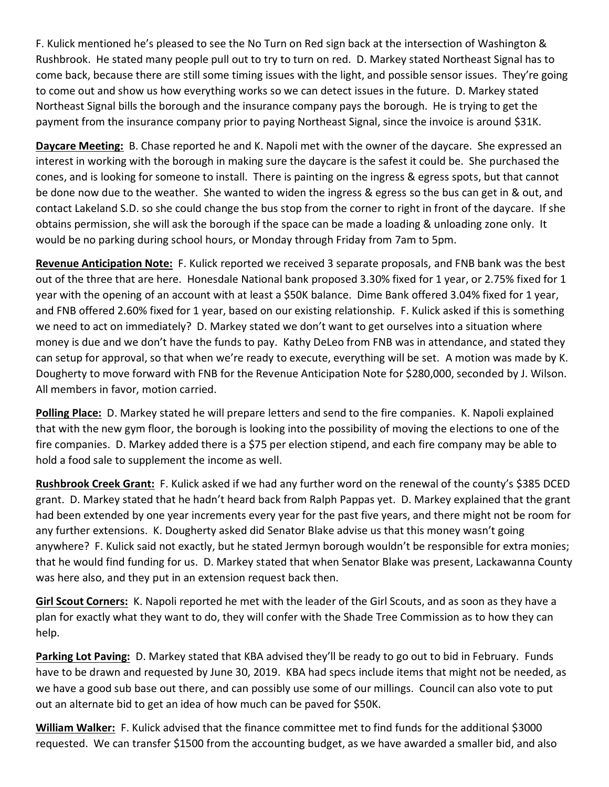F. Kulick mentioned he's pleased to see the No Turn on Red sign back at the intersection of Washington & Rushbrook. He stated many people pull out to try to turn on red. D. Markey stated Northeast Signal has to come back, because there are still some timing issues with the light, and possible sensor issues. They're going to come out and show us how everything works so we can detect issues in the future. D. Markey stated Northeast Signal bills the borough and the insurance company pays the borough. He is trying to get the payment from the insurance company prior to paying Northeast Signal, since the invoice is around \$31K.

**Daycare Meeting:** B. Chase reported he and K. Napoli met with the owner of the daycare. She expressed an interest in working with the borough in making sure the daycare is the safest it could be. She purchased the cones, and is looking for someone to install. There is painting on the ingress & egress spots, but that cannot be done now due to the weather. She wanted to widen the ingress & egress so the bus can get in & out, and contact Lakeland S.D. so she could change the bus stop from the corner to right in front of the daycare. If she obtains permission, she will ask the borough if the space can be made a loading & unloading zone only. It would be no parking during school hours, or Monday through Friday from 7am to 5pm.

**Revenue Anticipation Note:** F. Kulick reported we received 3 separate proposals, and FNB bank was the best out of the three that are here. Honesdale National bank proposed 3.30% fixed for 1 year, or 2.75% fixed for 1 year with the opening of an account with at least a \$50K balance. Dime Bank offered 3.04% fixed for 1 year, and FNB offered 2.60% fixed for 1 year, based on our existing relationship. F. Kulick asked if this is something we need to act on immediately? D. Markey stated we don't want to get ourselves into a situation where money is due and we don't have the funds to pay. Kathy DeLeo from FNB was in attendance, and stated they can setup for approval, so that when we're ready to execute, everything will be set. A motion was made by K. Dougherty to move forward with FNB for the Revenue Anticipation Note for \$280,000, seconded by J. Wilson. All members in favor, motion carried.

**Polling Place:** D. Markey stated he will prepare letters and send to the fire companies. K. Napoli explained that with the new gym floor, the borough is looking into the possibility of moving the elections to one of the fire companies. D. Markey added there is a \$75 per election stipend, and each fire company may be able to hold a food sale to supplement the income as well.

**Rushbrook Creek Grant:** F. Kulick asked if we had any further word on the renewal of the county's \$385 DCED grant. D. Markey stated that he hadn't heard back from Ralph Pappas yet. D. Markey explained that the grant had been extended by one year increments every year for the past five years, and there might not be room for any further extensions. K. Dougherty asked did Senator Blake advise us that this money wasn't going anywhere? F. Kulick said not exactly, but he stated Jermyn borough wouldn't be responsible for extra monies; that he would find funding for us. D. Markey stated that when Senator Blake was present, Lackawanna County was here also, and they put in an extension request back then.

**Girl Scout Corners:** K. Napoli reported he met with the leader of the Girl Scouts, and as soon as they have a plan for exactly what they want to do, they will confer with the Shade Tree Commission as to how they can help.

**Parking Lot Paving:** D. Markey stated that KBA advised they'll be ready to go out to bid in February. Funds have to be drawn and requested by June 30, 2019. KBA had specs include items that might not be needed, as we have a good sub base out there, and can possibly use some of our millings. Council can also vote to put out an alternate bid to get an idea of how much can be paved for \$50K.

**William Walker:** F. Kulick advised that the finance committee met to find funds for the additional \$3000 requested. We can transfer \$1500 from the accounting budget, as we have awarded a smaller bid, and also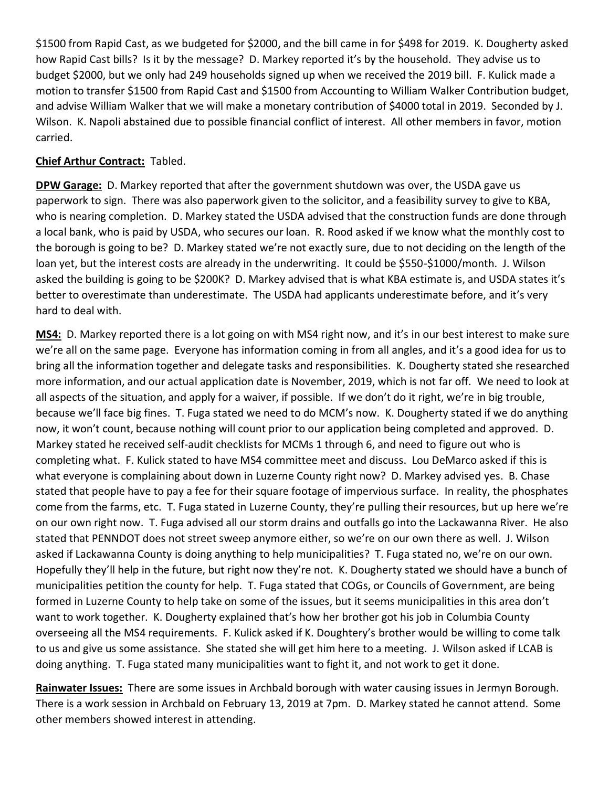\$1500 from Rapid Cast, as we budgeted for \$2000, and the bill came in for \$498 for 2019. K. Dougherty asked how Rapid Cast bills? Is it by the message? D. Markey reported it's by the household. They advise us to budget \$2000, but we only had 249 households signed up when we received the 2019 bill. F. Kulick made a motion to transfer \$1500 from Rapid Cast and \$1500 from Accounting to William Walker Contribution budget, and advise William Walker that we will make a monetary contribution of \$4000 total in 2019. Seconded by J. Wilson. K. Napoli abstained due to possible financial conflict of interest. All other members in favor, motion carried.

## **Chief Arthur Contract:** Tabled.

**DPW Garage:** D. Markey reported that after the government shutdown was over, the USDA gave us paperwork to sign. There was also paperwork given to the solicitor, and a feasibility survey to give to KBA, who is nearing completion. D. Markey stated the USDA advised that the construction funds are done through a local bank, who is paid by USDA, who secures our loan. R. Rood asked if we know what the monthly cost to the borough is going to be? D. Markey stated we're not exactly sure, due to not deciding on the length of the loan yet, but the interest costs are already in the underwriting. It could be \$550-\$1000/month. J. Wilson asked the building is going to be \$200K? D. Markey advised that is what KBA estimate is, and USDA states it's better to overestimate than underestimate. The USDA had applicants underestimate before, and it's very hard to deal with.

**MS4:** D. Markey reported there is a lot going on with MS4 right now, and it's in our best interest to make sure we're all on the same page. Everyone has information coming in from all angles, and it's a good idea for us to bring all the information together and delegate tasks and responsibilities. K. Dougherty stated she researched more information, and our actual application date is November, 2019, which is not far off. We need to look at all aspects of the situation, and apply for a waiver, if possible. If we don't do it right, we're in big trouble, because we'll face big fines. T. Fuga stated we need to do MCM's now. K. Dougherty stated if we do anything now, it won't count, because nothing will count prior to our application being completed and approved. D. Markey stated he received self-audit checklists for MCMs 1 through 6, and need to figure out who is completing what. F. Kulick stated to have MS4 committee meet and discuss. Lou DeMarco asked if this is what everyone is complaining about down in Luzerne County right now? D. Markey advised yes. B. Chase stated that people have to pay a fee for their square footage of impervious surface. In reality, the phosphates come from the farms, etc. T. Fuga stated in Luzerne County, they're pulling their resources, but up here we're on our own right now. T. Fuga advised all our storm drains and outfalls go into the Lackawanna River. He also stated that PENNDOT does not street sweep anymore either, so we're on our own there as well. J. Wilson asked if Lackawanna County is doing anything to help municipalities? T. Fuga stated no, we're on our own. Hopefully they'll help in the future, but right now they're not. K. Dougherty stated we should have a bunch of municipalities petition the county for help. T. Fuga stated that COGs, or Councils of Government, are being formed in Luzerne County to help take on some of the issues, but it seems municipalities in this area don't want to work together. K. Dougherty explained that's how her brother got his job in Columbia County overseeing all the MS4 requirements. F. Kulick asked if K. Doughtery's brother would be willing to come talk to us and give us some assistance. She stated she will get him here to a meeting. J. Wilson asked if LCAB is doing anything. T. Fuga stated many municipalities want to fight it, and not work to get it done.

**Rainwater Issues:** There are some issues in Archbald borough with water causing issues in Jermyn Borough. There is a work session in Archbald on February 13, 2019 at 7pm. D. Markey stated he cannot attend. Some other members showed interest in attending.